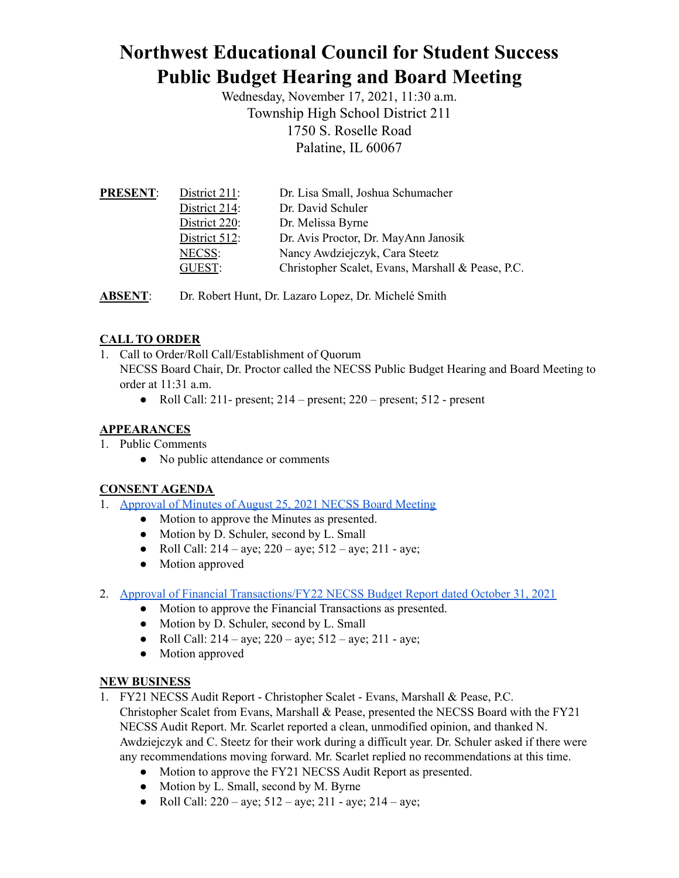# **Northwest Educational Council for Student Success Public Budget Hearing and Board Meeting**

Wednesday, November 17, 2021, 11:30 a.m. Township High School District 211 1750 S. Roselle Road Palatine, IL 60067

| <b>PRESENT:</b> | District 211: | Dr. Lisa Small, Joshua Schumacher                 |
|-----------------|---------------|---------------------------------------------------|
|                 | District 214: | Dr. David Schuler                                 |
|                 | District 220: | Dr. Melissa Byrne                                 |
|                 | District 512: | Dr. Avis Proctor, Dr. MayAnn Janosik              |
|                 | NECSS:        | Nancy Awdziejczyk, Cara Steetz                    |
|                 | GUEST:        | Christopher Scalet, Evans, Marshall & Pease, P.C. |
|                 |               |                                                   |

**ABSENT**: Dr. Robert Hunt, Dr. Lazaro Lopez, Dr. Michelé Smith

## **CALL TO ORDER**

- 1. Call to Order/Roll Call/Establishment of Quorum NECSS Board Chair, Dr. Proctor called the NECSS Public Budget Hearing and Board Meeting to order at 11:31 a.m.
	- Roll Call:  $211$  present;  $214$  present;  $220$  present;  $512$  present

## **APPEARANCES**

- 1. Public Comments
	- No public attendance or comments

## **CONSENT AGENDA**

- 1. [Approval](https://docs.google.com/document/d/1rI8joPK296pNP8PhcQCeB7ctFcUN-erMMmFBEGobtxk/edit?usp=sharing) of Minutes of August 25, 2021 NECSS Board Meeting
	- Motion to approve the Minutes as presented.
	- Motion by D. Schuler, second by L. Small
	- Roll Call:  $214 aye$ ;  $220 aye$ ;  $512 aye$ ;  $211 aye$ ;
	- Motion approved
- 2. Approval of Financial [Transactions/FY22](https://drive.google.com/file/d/1m2okUxTZlOQPfljrfXI8ZtXeU6vdZ9ob/view?usp=sharing) NECSS Budget Report dated October 31, 2021
	- Motion to approve the Financial Transactions as presented.
	- Motion by D. Schuler, second by L. Small
	- Roll Call:  $214 aye$ ;  $220 aye$ ;  $512 aye$ ;  $211 aye$ ;
	- Motion approved

#### **NEW BUSINESS**

- 1. FY21 NECSS Audit Report Christopher Scalet Evans, Marshall & Pease, P.C. Christopher Scalet from Evans, Marshall & Pease, presented the NECSS Board with the FY21 NECSS Audit Report. Mr. Scarlet reported a clean, unmodified opinion, and thanked N. Awdziejczyk and C. Steetz for their work during a difficult year. Dr. Schuler asked if there were any recommendations moving forward. Mr. Scarlet replied no recommendations at this time.
	- Motion to approve the FY21 NECSS Audit Report as presented.
	- Motion by L. Small, second by M. Byrne
	- Roll Call:  $220 aye$ ;  $512 aye$ ;  $211 aye$ ;  $214 aye$ ;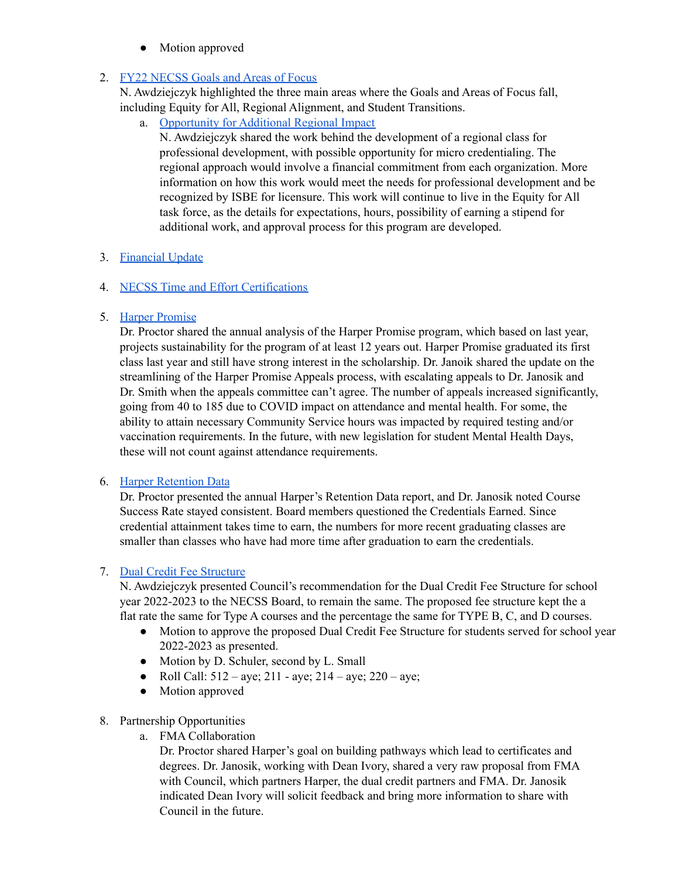• Motion approved

## 2. FY22 [NECSS](https://docs.google.com/document/d/13AoE_gohRyanj3RnHoLXMIvQEEedlQgM65bRlpkFVeo/edit?usp=sharing) Goals and Areas of Focus

N. Awdziejczyk highlighted the three main areas where the Goals and Areas of Focus fall, including Equity for All, Regional Alignment, and Student Transitions.

a. [Opportunity](https://docs.google.com/document/d/1-u_qtiag474KI_17gPvOCKk8PwRXacTvNWsIkF0m15Y/edit?usp=sharing) for Additional Regional Impact

N. Awdziejczyk shared the work behind the development of a regional class for professional development, with possible opportunity for micro credentialing. The regional approach would involve a financial commitment from each organization. More information on how this work would meet the needs for professional development and be recognized by ISBE for licensure. This work will continue to live in the Equity for All task force, as the details for expectations, hours, possibility of earning a stipend for additional work, and approval process for this program are developed.

## 3. [Financial](https://docs.google.com/document/d/1-pHPLwMtLFxz3xRtcw5gN4VDSuJt_LYaUkz27fiibXg/edit?usp=sharing) Update

## 4. NECSS Time and Effort [Certifications](https://drive.google.com/file/d/14LpoPa78CHsbjC9pIFdmq8d9HQ6vyjbR/view?usp=sharing)

## 5. Harper [Promise](https://drive.google.com/file/d/1K36g4T0n2NkAhCz7yw--4Tlgb1t8u5l2/view?usp=sharing)

Dr. Proctor shared the annual analysis of the Harper Promise program, which based on last year, projects sustainability for the program of at least 12 years out. Harper Promise graduated its first class last year and still have strong interest in the scholarship. Dr. Janoik shared the update on the streamlining of the Harper Promise Appeals process, with escalating appeals to Dr. Janosik and Dr. Smith when the appeals committee can't agree. The number of appeals increased significantly, going from 40 to 185 due to COVID impact on attendance and mental health. For some, the ability to attain necessary Community Service hours was impacted by required testing and/or vaccination requirements. In the future, with new legislation for student Mental Health Days, these will not count against attendance requirements.

## 6. Harper [Retention](https://drive.google.com/file/d/14OaO4wUjdBL-0Kd9KzXyomkbEa3RRDS2/view?usp=sharing) Data

Dr. Proctor presented the annual Harper's Retention Data report, and Dr. Janosik noted Course Success Rate stayed consistent. Board members questioned the Credentials Earned. Since credential attainment takes time to earn, the numbers for more recent graduating classes are smaller than classes who have had more time after graduation to earn the credentials.

## 7. Dual Credit Fee [Structure](https://docs.google.com/document/d/1y5OtoV98LRQefOVdapqIwETQTZsiXTUuw9MW1VF_7lM/edit?usp=sharing)

N. Awdziejczyk presented Council's recommendation for the Dual Credit Fee Structure for school year 2022-2023 to the NECSS Board, to remain the same. The proposed fee structure kept the a flat rate the same for Type A courses and the percentage the same for TYPE B, C, and D courses.

- Motion to approve the proposed Dual Credit Fee Structure for students served for school year 2022-2023 as presented.
- Motion by D. Schuler, second by L. Small
- Roll Call:  $512 ave$ ;  $211 ave$ ;  $214 ave$ ;  $220 ave$ ;
- Motion approved

## 8. Partnership Opportunities

a. FMA Collaboration

Dr. Proctor shared Harper's goal on building pathways which lead to certificates and degrees. Dr. Janosik, working with Dean Ivory, shared a very raw proposal from FMA with Council, which partners Harper, the dual credit partners and FMA. Dr. Janosik indicated Dean Ivory will solicit feedback and bring more information to share with Council in the future.